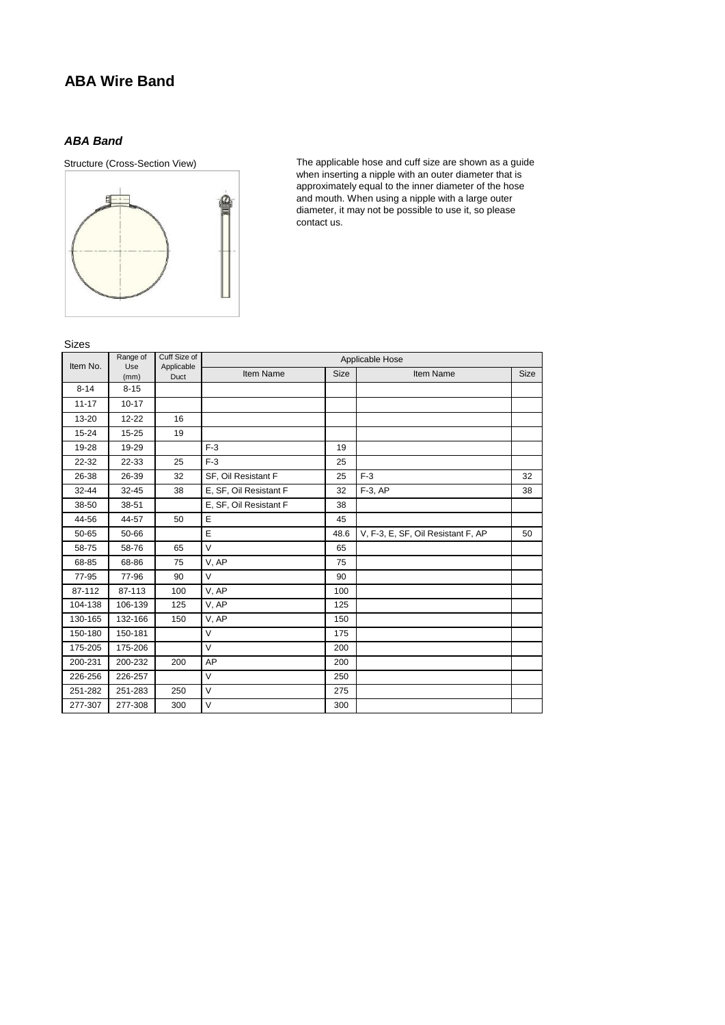## **ABA Wire Band**

*ABA Band*



The applicable hose and cuff size are shown as a guide when inserting a nipple with an outer diameter that is approximately equal to the inner diameter of the hose and mouth. When using a nipple with a large outer diameter, it may not be possible to use it, so please contact us.

Sizes

| Item No.  | Range of<br>Use | Cuff Size of<br>Applicable<br>Duct | Applicable Hose        |      |                                    |      |  |  |
|-----------|-----------------|------------------------------------|------------------------|------|------------------------------------|------|--|--|
|           | (mm)            |                                    | Item Name              | Size | Item Name                          | Size |  |  |
| $8 - 14$  | $8 - 15$        |                                    |                        |      |                                    |      |  |  |
| $11 - 17$ | $10 - 17$       |                                    |                        |      |                                    |      |  |  |
| 13-20     | 12-22           | 16                                 |                        |      |                                    |      |  |  |
| $15 - 24$ | $15 - 25$       | 19                                 |                        |      |                                    |      |  |  |
| 19-28     | 19-29           |                                    | $F-3$                  | 19   |                                    |      |  |  |
| 22-32     | 22-33           | 25                                 | $F-3$                  | 25   |                                    |      |  |  |
| 26-38     | 26-39           | 32                                 | SF, Oil Resistant F    | 25   | $F-3$                              | 32   |  |  |
| $32 - 44$ | $32 - 45$       | 38                                 | E, SF, Oil Resistant F | 32   | $F-3$ , AP                         | 38   |  |  |
| 38-50     | 38-51           |                                    | E, SF, Oil Resistant F | 38   |                                    |      |  |  |
| 44-56     | 44-57           | 50                                 | E                      | 45   |                                    |      |  |  |
| 50-65     | 50-66           |                                    | E                      | 48.6 | V, F-3, E, SF, Oil Resistant F, AP | 50   |  |  |
| 58-75     | 58-76           | 65                                 | $\vee$                 | 65   |                                    |      |  |  |
| 68-85     | 68-86           | 75                                 | V, AP                  | 75   |                                    |      |  |  |
| 77-95     | 77-96           | 90                                 | $\vee$                 | 90   |                                    |      |  |  |
| 87-112    | 87-113          | 100                                | V, AP                  | 100  |                                    |      |  |  |
| 104-138   | 106-139         | 125                                | V, AP                  | 125  |                                    |      |  |  |
| 130-165   | 132-166         | 150                                | V, AP                  | 150  |                                    |      |  |  |
| 150-180   | 150-181         |                                    | $\vee$                 | 175  |                                    |      |  |  |
| 175-205   | 175-206         |                                    | $\vee$                 | 200  |                                    |      |  |  |
| 200-231   | 200-232         | 200                                | AP                     | 200  |                                    |      |  |  |
| 226-256   | 226-257         |                                    | V                      | 250  |                                    |      |  |  |
| 251-282   | 251-283         | 250                                | $\vee$                 | 275  |                                    |      |  |  |
| 277-307   | 277-308         | 300                                | $\vee$                 | 300  |                                    |      |  |  |